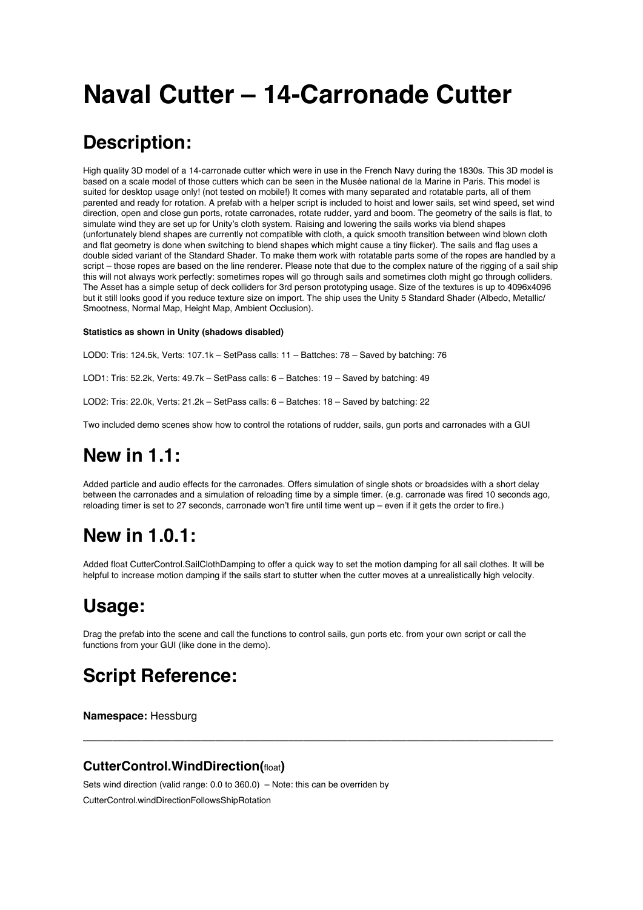# **Naval Cutter – 14-Carronade Cutter**

# **Description:**

High quality 3D model of a 14-carronade cutter which were in use in the French Navy during the 1830s. This 3D model is based on a scale model of those cutters which can be seen in the Musée national de la Marine in Paris. This model is suited for desktop usage only! (not tested on mobile!) It comes with many separated and rotatable parts, all of them parented and ready for rotation. A prefab with a helper script is included to hoist and lower sails, set wind speed, set wind direction, open and close gun ports, rotate carronades, rotate rudder, yard and boom. The geometry of the sails is flat, to simulate wind they are set up for Unity's cloth system. Raising and lowering the sails works via blend shapes (unfortunately blend shapes are currently not compatible with cloth, a quick smooth transition between wind blown cloth and flat geometry is done when switching to blend shapes which might cause a tiny flicker). The sails and flag uses a double sided variant of the Standard Shader. To make them work with rotatable parts some of the ropes are handled by a script – those ropes are based on the line renderer. Please note that due to the complex nature of the rigging of a sail ship this will not always work perfectly: sometimes ropes will go through sails and sometimes cloth might go through colliders. The Asset has a simple setup of deck colliders for 3rd person prototyping usage. Size of the textures is up to 4096x4096 but it still looks good if you reduce texture size on import. The ship uses the Unity 5 Standard Shader (Albedo, Metallic/ Smootness, Normal Map, Height Map, Ambient Occlusion).

#### **Statistics as shown in Unity (shadows disabled)**

LOD0: Tris: 124.5k, Verts: 107.1k – SetPass calls: 11 – Battches: 78 – Saved by batching: 76

LOD1: Tris: 52.2k, Verts: 49.7k – SetPass calls: 6 – Batches: 19 – Saved by batching: 49

LOD2: Tris: 22.0k, Verts: 21.2k – SetPass calls: 6 – Batches: 18 – Saved by batching: 22

Two included demo scenes show how to control the rotations of rudder, sails, gun ports and carronades with a GUI

# **New in 1.1:**

Added particle and audio effects for the carronades. Offers simulation of single shots or broadsides with a short delay between the carronades and a simulation of reloading time by a simple timer. (e.g. carronade was fired 10 seconds ago, reloading timer is set to 27 seconds, carronade won't fire until time went up – even if it gets the order to fire.)

# **New in 1.0.1:**

Added float CutterControl.SailClothDamping to offer a quick way to set the motion damping for all sail clothes. It will be helpful to increase motion damping if the sails start to stutter when the cutter moves at a unrealistically high velocity.

# **Usage:**

Drag the prefab into the scene and call the functions to control sails, gun ports etc. from your own script or call the functions from your GUI (like done in the demo).

––––––––––––––––––––––––––––––––––––––––––––––––––––––––––––––––––––––––––––––––––––––––––––––––

# **Script Reference:**

**Namespace:** Hessburg

# **CutterControl.WindDirection(**float**)**

Sets wind direction (valid range: 0.0 to 360.0) – Note: this can be overriden by CutterControl.windDirectionFollowsShipRotation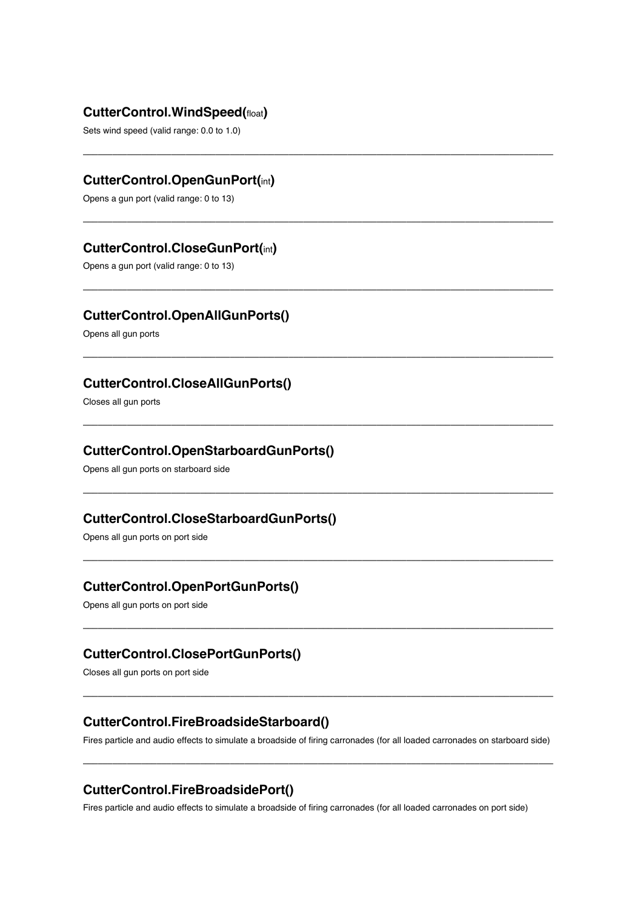#### **CutterControl.WindSpeed(**float**)**

Sets wind speed (valid range: 0.0 to 1.0)

# **CutterControl.OpenGunPort(**int**)**

Opens a gun port (valid range: 0 to 13)

### **CutterControl.CloseGunPort(**int**)**

Opens a gun port (valid range: 0 to 13)

### **CutterControl.OpenAllGunPorts()**

Opens all gun ports

### **CutterControl.CloseAllGunPorts()**

Closes all gun ports

#### **CutterControl.OpenStarboardGunPorts()**

Opens all gun ports on starboard side

## **CutterControl.CloseStarboardGunPorts()**

Opens all gun ports on port side

### **CutterControl.OpenPortGunPorts()**

Opens all gun ports on port side

#### **CutterControl.ClosePortGunPorts()**

Closes all gun ports on port side

#### **CutterControl.FireBroadsideStarboard()**

Fires particle and audio effects to simulate a broadside of firing carronades (for all loaded carronades on starboard side)

––––––––––––––––––––––––––––––––––––––––––––––––––––––––––––––––––––––––––––––––––––––––––––––––

––––––––––––––––––––––––––––––––––––––––––––––––––––––––––––––––––––––––––––––––––––––––––––––––

––––––––––––––––––––––––––––––––––––––––––––––––––––––––––––––––––––––––––––––––––––––––––––––––

––––––––––––––––––––––––––––––––––––––––––––––––––––––––––––––––––––––––––––––––––––––––––––––––

––––––––––––––––––––––––––––––––––––––––––––––––––––––––––––––––––––––––––––––––––––––––––––––––

––––––––––––––––––––––––––––––––––––––––––––––––––––––––––––––––––––––––––––––––––––––––––––––––

––––––––––––––––––––––––––––––––––––––––––––––––––––––––––––––––––––––––––––––––––––––––––––––––

––––––––––––––––––––––––––––––––––––––––––––––––––––––––––––––––––––––––––––––––––––––––––––––––

––––––––––––––––––––––––––––––––––––––––––––––––––––––––––––––––––––––––––––––––––––––––––––––––

––––––––––––––––––––––––––––––––––––––––––––––––––––––––––––––––––––––––––––––––––––––––––––––––

#### **CutterControl.FireBroadsidePort()**

Fires particle and audio effects to simulate a broadside of firing carronades (for all loaded carronades on port side)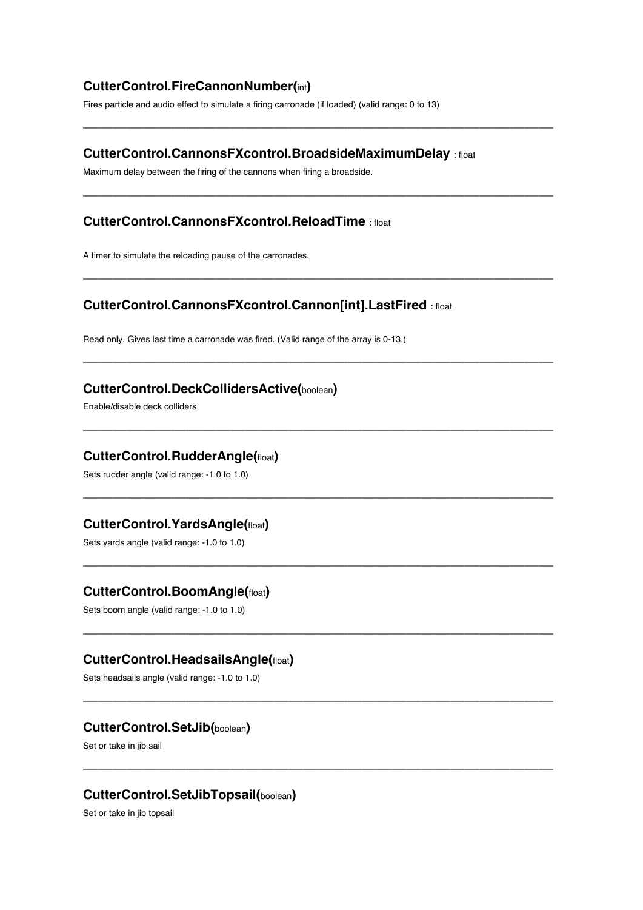# **CutterControl.FireCannonNumber(**int**)**

Fires particle and audio effect to simulate a firing carronade (if loaded) (valid range: 0 to 13)

#### **CutterControl.CannonsFXcontrol.BroadsideMaximumDelay** : float

––––––––––––––––––––––––––––––––––––––––––––––––––––––––––––––––––––––––––––––––––––––––––––––––

––––––––––––––––––––––––––––––––––––––––––––––––––––––––––––––––––––––––––––––––––––––––––––––––

––––––––––––––––––––––––––––––––––––––––––––––––––––––––––––––––––––––––––––––––––––––––––––––––

––––––––––––––––––––––––––––––––––––––––––––––––––––––––––––––––––––––––––––––––––––––––––––––––

––––––––––––––––––––––––––––––––––––––––––––––––––––––––––––––––––––––––––––––––––––––––––––––––

––––––––––––––––––––––––––––––––––––––––––––––––––––––––––––––––––––––––––––––––––––––––––––––––

––––––––––––––––––––––––––––––––––––––––––––––––––––––––––––––––––––––––––––––––––––––––––––––––

––––––––––––––––––––––––––––––––––––––––––––––––––––––––––––––––––––––––––––––––––––––––––––––––

––––––––––––––––––––––––––––––––––––––––––––––––––––––––––––––––––––––––––––––––––––––––––––––––

––––––––––––––––––––––––––––––––––––––––––––––––––––––––––––––––––––––––––––––––––––––––––––––––

Maximum delay between the firing of the cannons when firing a broadside.

# **CutterControl.CannonsFXcontrol.ReloadTime** : float

A timer to simulate the reloading pause of the carronades.

#### **CutterControl.CannonsFXcontrol.Cannon[int].LastFired** : float

Read only. Gives last time a carronade was fired. (Valid range of the array is 0-13,)

#### **CutterControl.DeckCollidersActive(**boolean**)**

Enable/disable deck colliders

#### **CutterControl.RudderAngle(**float**)**

Sets rudder angle (valid range: -1.0 to 1.0)

#### **CutterControl.YardsAngle(**float**)**

Sets yards angle (valid range: -1.0 to 1.0)

#### **CutterControl.BoomAngle(**float**)**

Sets boom angle (valid range: -1.0 to 1.0)

#### **CutterControl.HeadsailsAngle(**float**)**

Sets headsails angle (valid range: -1.0 to 1.0)

#### **CutterControl.SetJib(**boolean**)**

Set or take in jib sail

#### **CutterControl.SetJibTopsail(**boolean**)**

Set or take in jib topsail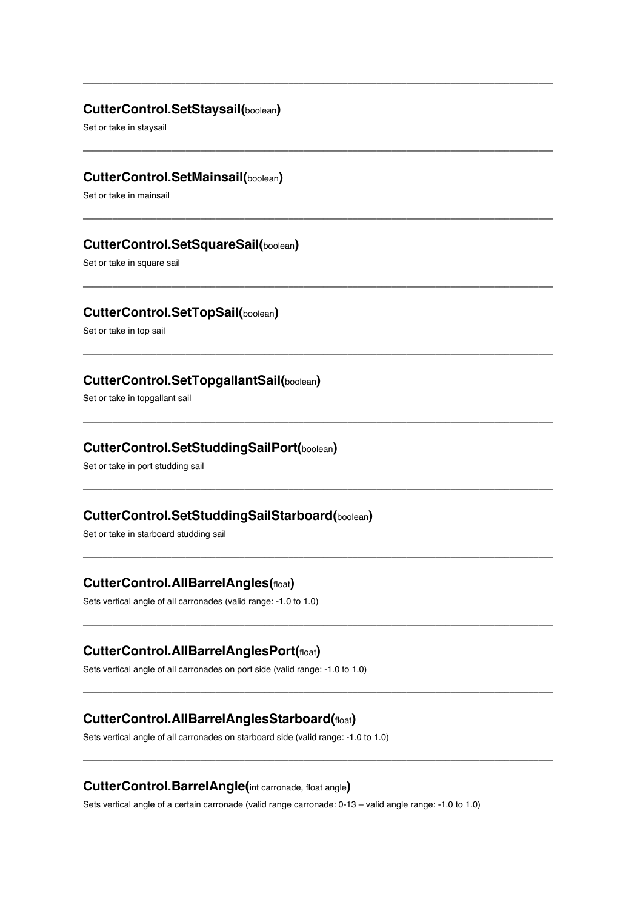#### **CutterControl.SetStaysail(**boolean**)**

––––––––––––––––––––––––––––––––––––––––––––––––––––––––––––––––––––––––––––––––––––––––––––––––

––––––––––––––––––––––––––––––––––––––––––––––––––––––––––––––––––––––––––––––––––––––––––––––––

––––––––––––––––––––––––––––––––––––––––––––––––––––––––––––––––––––––––––––––––––––––––––––––––

––––––––––––––––––––––––––––––––––––––––––––––––––––––––––––––––––––––––––––––––––––––––––––––––

––––––––––––––––––––––––––––––––––––––––––––––––––––––––––––––––––––––––––––––––––––––––––––––––

––––––––––––––––––––––––––––––––––––––––––––––––––––––––––––––––––––––––––––––––––––––––––––––––

––––––––––––––––––––––––––––––––––––––––––––––––––––––––––––––––––––––––––––––––––––––––––––––––

––––––––––––––––––––––––––––––––––––––––––––––––––––––––––––––––––––––––––––––––––––––––––––––––

––––––––––––––––––––––––––––––––––––––––––––––––––––––––––––––––––––––––––––––––––––––––––––––––

––––––––––––––––––––––––––––––––––––––––––––––––––––––––––––––––––––––––––––––––––––––––––––––––

––––––––––––––––––––––––––––––––––––––––––––––––––––––––––––––––––––––––––––––––––––––––––––––––

Set or take in staysail

# **CutterControl.SetMainsail(**boolean**)**

Set or take in mainsail

#### **CutterControl.SetSquareSail(**boolean**)**

Set or take in square sail

#### **CutterControl.SetTopSail(**boolean**)**

Set or take in top sail

#### **CutterControl.SetTopgallantSail(**boolean**)**

Set or take in topgallant sail

#### **CutterControl.SetStuddingSailPort(**boolean**)**

Set or take in port studding sail

#### **CutterControl.SetStuddingSailStarboard(**boolean**)**

Set or take in starboard studding sail

# **CutterControl.AllBarrelAngles(**float**)**

Sets vertical angle of all carronades (valid range: -1.0 to 1.0)

#### **CutterControl.AllBarrelAnglesPort(**float**)**

Sets vertical angle of all carronades on port side (valid range: -1.0 to 1.0)

#### **CutterControl.AllBarrelAnglesStarboard(**float**)**

Sets vertical angle of all carronades on starboard side (valid range: -1.0 to 1.0)

#### **CutterControl.BarrelAngle(**int carronade, float angle**)**

Sets vertical angle of a certain carronade (valid range carronade: 0-13 – valid angle range: -1.0 to 1.0)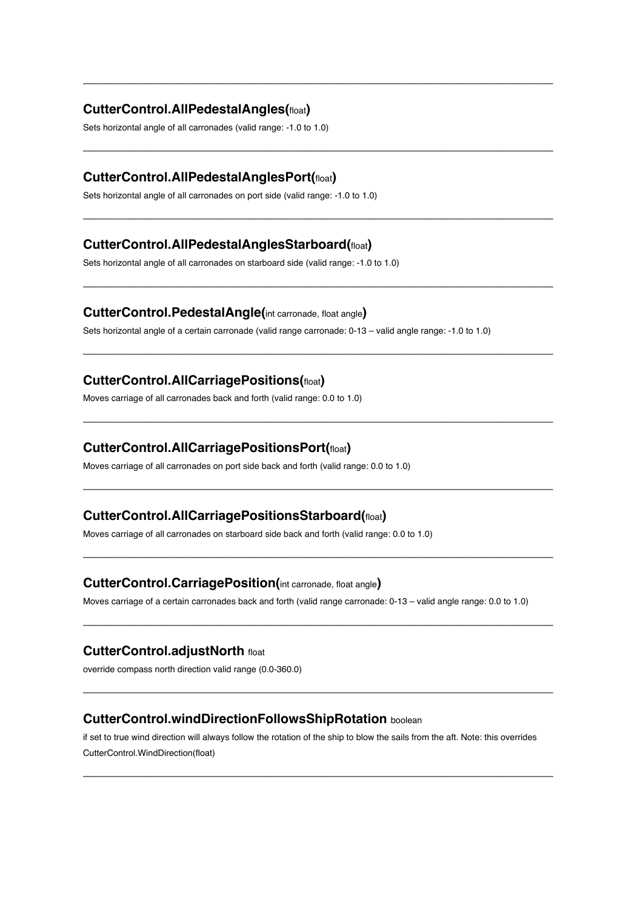## **CutterControl.AllPedestalAngles(**float**)**

Sets horizontal angle of all carronades (valid range: -1.0 to 1.0)

#### **CutterControl.AllPedestalAnglesPort(**float**)**

Sets horizontal angle of all carronades on port side (valid range: -1.0 to 1.0)

#### **CutterControl.AllPedestalAnglesStarboard(**float**)**

Sets horizontal angle of all carronades on starboard side (valid range: -1.0 to 1.0)

### **CutterControl.PedestalAngle(**int carronade, float angle**)**

Sets horizontal angle of a certain carronade (valid range carronade: 0-13 – valid angle range: -1.0 to 1.0)

––––––––––––––––––––––––––––––––––––––––––––––––––––––––––––––––––––––––––––––––––––––––––––––––

––––––––––––––––––––––––––––––––––––––––––––––––––––––––––––––––––––––––––––––––––––––––––––––––

––––––––––––––––––––––––––––––––––––––––––––––––––––––––––––––––––––––––––––––––––––––––––––––––

––––––––––––––––––––––––––––––––––––––––––––––––––––––––––––––––––––––––––––––––––––––––––––––––

––––––––––––––––––––––––––––––––––––––––––––––––––––––––––––––––––––––––––––––––––––––––––––––––

––––––––––––––––––––––––––––––––––––––––––––––––––––––––––––––––––––––––––––––––––––––––––––––––

––––––––––––––––––––––––––––––––––––––––––––––––––––––––––––––––––––––––––––––––––––––––––––––––

––––––––––––––––––––––––––––––––––––––––––––––––––––––––––––––––––––––––––––––––––––––––––––––––

––––––––––––––––––––––––––––––––––––––––––––––––––––––––––––––––––––––––––––––––––––––––––––––––

––––––––––––––––––––––––––––––––––––––––––––––––––––––––––––––––––––––––––––––––––––––––––––––––

#### **CutterControl.AllCarriagePositions(**float**)**

Moves carriage of all carronades back and forth (valid range: 0.0 to 1.0)

#### **CutterControl.AllCarriagePositionsPort(**float**)**

Moves carriage of all carronades on port side back and forth (valid range: 0.0 to 1.0)

#### **CutterControl.AllCarriagePositionsStarboard(**float**)**

Moves carriage of all carronades on starboard side back and forth (valid range: 0.0 to 1.0)

#### **CutterControl.CarriagePosition(**int carronade, float angle**)**

Moves carriage of a certain carronades back and forth (valid range carronade: 0-13 – valid angle range: 0.0 to 1.0)

#### **CutterControl.adjustNorth** float

override compass north direction valid range (0.0-360.0)

#### **CutterControl.windDirectionFollowsShipRotation** boolean

if set to true wind direction will always follow the rotation of the ship to blow the sails from the aft. Note: this overrides CutterControl.WindDirection(float)

––––––––––––––––––––––––––––––––––––––––––––––––––––––––––––––––––––––––––––––––––––––––––––––––